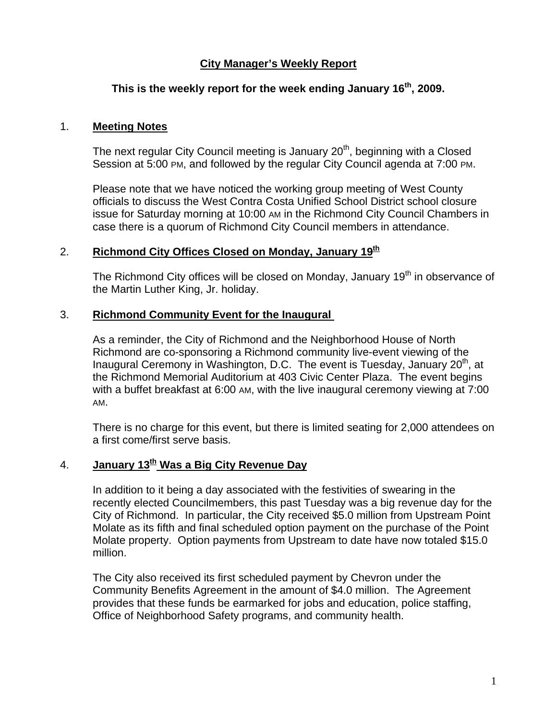## **City Manager's Weekly Report**

## **This is the weekly report for the week ending January 16th, 2009.**

#### 1. **Meeting Notes**

The next regular City Council meeting is January  $20<sup>th</sup>$ , beginning with a Closed Session at 5:00 PM, and followed by the regular City Council agenda at 7:00 PM.

Please note that we have noticed the working group meeting of West County officials to discuss the West Contra Costa Unified School District school closure issue for Saturday morning at 10:00 AM in the Richmond City Council Chambers in case there is a quorum of Richmond City Council members in attendance.

## 2. **Richmond City Offices Closed on Monday, January 19**<sup>th</sup>

The Richmond City offices will be closed on Monday, January 19<sup>th</sup> in observance of the Martin Luther King, Jr. holiday.

#### 3. **Richmond Community Event for the Inaugural**

As a reminder, the City of Richmond and the Neighborhood House of North Richmond are co-sponsoring a Richmond community live-event viewing of the Inaugural Ceremony in Washington, D.C. The event is Tuesday, January 20<sup>th</sup>, at the Richmond Memorial Auditorium at 403 Civic Center Plaza. The event begins with a buffet breakfast at 6:00 AM, with the live inaugural ceremony viewing at 7:00 AM.

There is no charge for this event, but there is limited seating for 2,000 attendees on a first come/first serve basis.

# 4. **January 13<sup>th</sup> Was a Big City Revenue Day**

In addition to it being a day associated with the festivities of swearing in the recently elected Councilmembers, this past Tuesday was a big revenue day for the City of Richmond. In particular, the City received \$5.0 million from Upstream Point Molate as its fifth and final scheduled option payment on the purchase of the Point Molate property. Option payments from Upstream to date have now totaled \$15.0 million.

The City also received its first scheduled payment by Chevron under the Community Benefits Agreement in the amount of \$4.0 million. The Agreement provides that these funds be earmarked for jobs and education, police staffing, Office of Neighborhood Safety programs, and community health.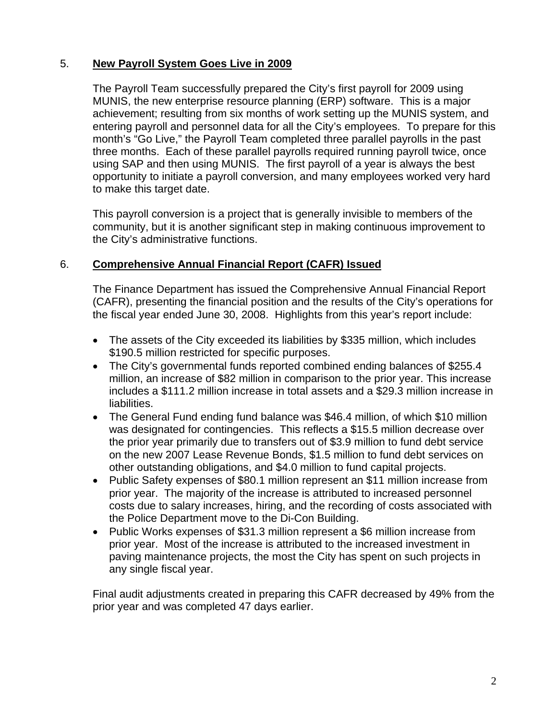## 5. **New Payroll System Goes Live in 2009**

The Payroll Team successfully prepared the City's first payroll for 2009 using MUNIS, the new enterprise resource planning (ERP) software. This is a major achievement; resulting from six months of work setting up the MUNIS system, and entering payroll and personnel data for all the City's employees. To prepare for this month's "Go Live," the Payroll Team completed three parallel payrolls in the past three months. Each of these parallel payrolls required running payroll twice, once using SAP and then using MUNIS. The first payroll of a year is always the best opportunity to initiate a payroll conversion, and many employees worked very hard to make this target date.

This payroll conversion is a project that is generally invisible to members of the community, but it is another significant step in making continuous improvement to the City's administrative functions.

## 6. **Comprehensive Annual Financial Report (CAFR) Issued**

The Finance Department has issued the Comprehensive Annual Financial Report (CAFR), presenting the financial position and the results of the City's operations for the fiscal year ended June 30, 2008. Highlights from this year's report include:

- The assets of the City exceeded its liabilities by \$335 million, which includes \$190.5 million restricted for specific purposes.
- The City's governmental funds reported combined ending balances of \$255.4 million, an increase of \$82 million in comparison to the prior year. This increase includes a \$111.2 million increase in total assets and a \$29.3 million increase in liabilities.
- The General Fund ending fund balance was \$46.4 million, of which \$10 million was designated for contingencies. This reflects a \$15.5 million decrease over the prior year primarily due to transfers out of \$3.9 million to fund debt service on the new 2007 Lease Revenue Bonds, \$1.5 million to fund debt services on other outstanding obligations, and \$4.0 million to fund capital projects.
- Public Safety expenses of \$80.1 million represent an \$11 million increase from prior year. The majority of the increase is attributed to increased personnel costs due to salary increases, hiring, and the recording of costs associated with the Police Department move to the Di-Con Building.
- Public Works expenses of \$31.3 million represent a \$6 million increase from prior year. Most of the increase is attributed to the increased investment in paving maintenance projects, the most the City has spent on such projects in any single fiscal year.

Final audit adjustments created in preparing this CAFR decreased by 49% from the prior year and was completed 47 days earlier.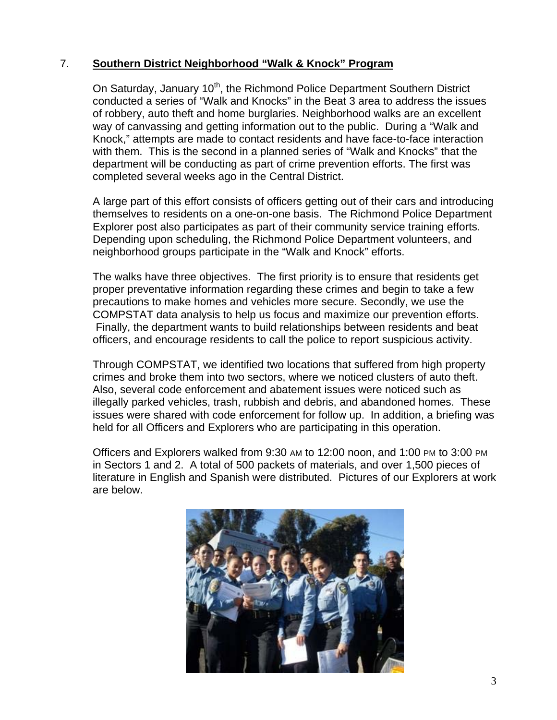## 7. **Southern District Neighborhood "Walk & Knock" Program**

On Saturday, January 10<sup>th</sup>, the Richmond Police Department Southern District conducted a series of "Walk and Knocks" in the Beat 3 area to address the issues of robbery, auto theft and home burglaries. Neighborhood walks are an excellent way of canvassing and getting information out to the public. During a "Walk and Knock," attempts are made to contact residents and have face-to-face interaction with them. This is the second in a planned series of "Walk and Knocks" that the department will be conducting as part of crime prevention efforts. The first was completed several weeks ago in the Central District.

A large part of this effort consists of officers getting out of their cars and introducing themselves to residents on a one-on-one basis. The Richmond Police Department Explorer post also participates as part of their community service training efforts. Depending upon scheduling, the Richmond Police Department volunteers, and neighborhood groups participate in the "Walk and Knock" efforts.

The walks have three objectives. The first priority is to ensure that residents get proper preventative information regarding these crimes and begin to take a few precautions to make homes and vehicles more secure. Secondly, we use the COMPSTAT data analysis to help us focus and maximize our prevention efforts. Finally, the department wants to build relationships between residents and beat officers, and encourage residents to call the police to report suspicious activity.

Through COMPSTAT, we identified two locations that suffered from high property crimes and broke them into two sectors, where we noticed clusters of auto theft. Also, several code enforcement and abatement issues were noticed such as illegally parked vehicles, trash, rubbish and debris, and abandoned homes. These issues were shared with code enforcement for follow up. In addition, a briefing was held for all Officers and Explorers who are participating in this operation.

Officers and Explorers walked from 9:30 AM to 12:00 noon, and 1:00 PM to 3:00 PM in Sectors 1 and 2. A total of 500 packets of materials, and over 1,500 pieces of literature in English and Spanish were distributed. Pictures of our Explorers at work are below.

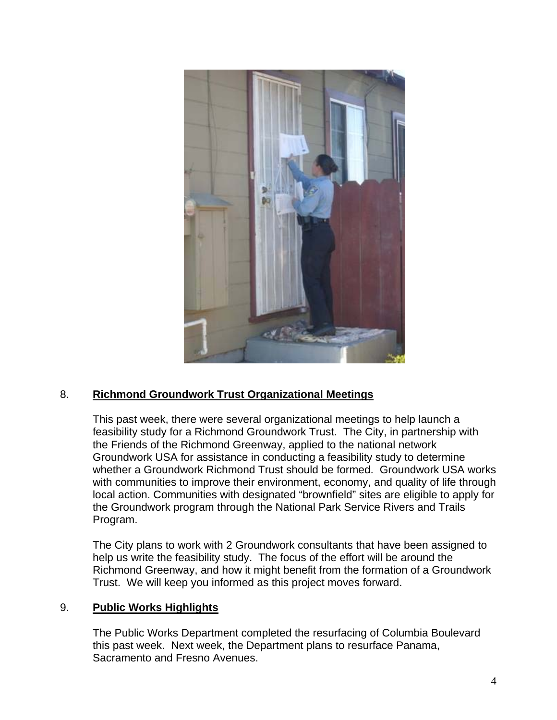

## 8. **Richmond Groundwork Trust Organizational Meetings**

This past week, there were several organizational meetings to help launch a feasibility study for a Richmond Groundwork Trust. The City, in partnership with the Friends of the Richmond Greenway, applied to the national network Groundwork USA for assistance in conducting a feasibility study to determine whether a Groundwork Richmond Trust should be formed. Groundwork USA works with communities to improve their environment, economy, and quality of life through local action. Communities with designated "brownfield" sites are eligible to apply for the Groundwork program through the National Park Service Rivers and Trails Program.

The City plans to work with 2 Groundwork consultants that have been assigned to help us write the feasibility study. The focus of the effort will be around the Richmond Greenway, and how it might benefit from the formation of a Groundwork Trust. We will keep you informed as this project moves forward.

#### 9. **Public Works Highlights**

The Public Works Department completed the resurfacing of Columbia Boulevard this past week. Next week, the Department plans to resurface Panama, Sacramento and Fresno Avenues.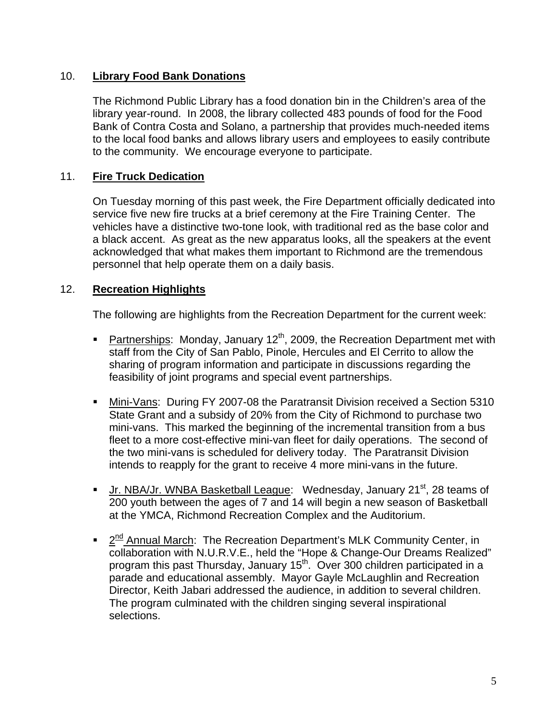#### 10. **Library Food Bank Donations**

The Richmond Public Library has a food donation bin in the Children's area of the library year-round. In 2008, the library collected 483 pounds of food for the Food Bank of Contra Costa and Solano, a partnership that provides much-needed items to the local food banks and allows library users and employees to easily contribute to the community. We encourage everyone to participate.

#### 11. **Fire Truck Dedication**

On Tuesday morning of this past week, the Fire Department officially dedicated into service five new fire trucks at a brief ceremony at the Fire Training Center. The vehicles have a distinctive two-tone look, with traditional red as the base color and a black accent. As great as the new apparatus looks, all the speakers at the event acknowledged that what makes them important to Richmond are the tremendous personnel that help operate them on a daily basis.

#### 12. **Recreation Highlights**

The following are highlights from the Recreation Department for the current week:

- Partnerships: Monday, January  $12^{th}$ , 2009, the Recreation Department met with staff from the City of San Pablo, Pinole, Hercules and El Cerrito to allow the sharing of program information and participate in discussions regarding the feasibility of joint programs and special event partnerships.
- Mini-Vans: During FY 2007-08 the Paratransit Division received a Section 5310 State Grant and a subsidy of 20% from the City of Richmond to purchase two mini-vans. This marked the beginning of the incremental transition from a bus fleet to a more cost-effective mini-van fleet for daily operations. The second of the two mini-vans is scheduled for delivery today. The Paratransit Division intends to reapply for the grant to receive 4 more mini-vans in the future.
- Jr. NBA/Jr. WNBA Basketball League: Wednesday, January 21<sup>st</sup>, 28 teams of 200 youth between the ages of 7 and 14 will begin a new season of Basketball at the YMCA, Richmond Recreation Complex and the Auditorium.
- 2<sup>nd</sup> Annual March: The Recreation Department's MLK Community Center, in collaboration with N.U.R.V.E., held the "Hope & Change-Our Dreams Realized" program this past Thursday, January 15<sup>th</sup>. Over 300 children participated in a parade and educational assembly. Mayor Gayle McLaughlin and Recreation Director, Keith Jabari addressed the audience, in addition to several children. The program culminated with the children singing several inspirational selections.